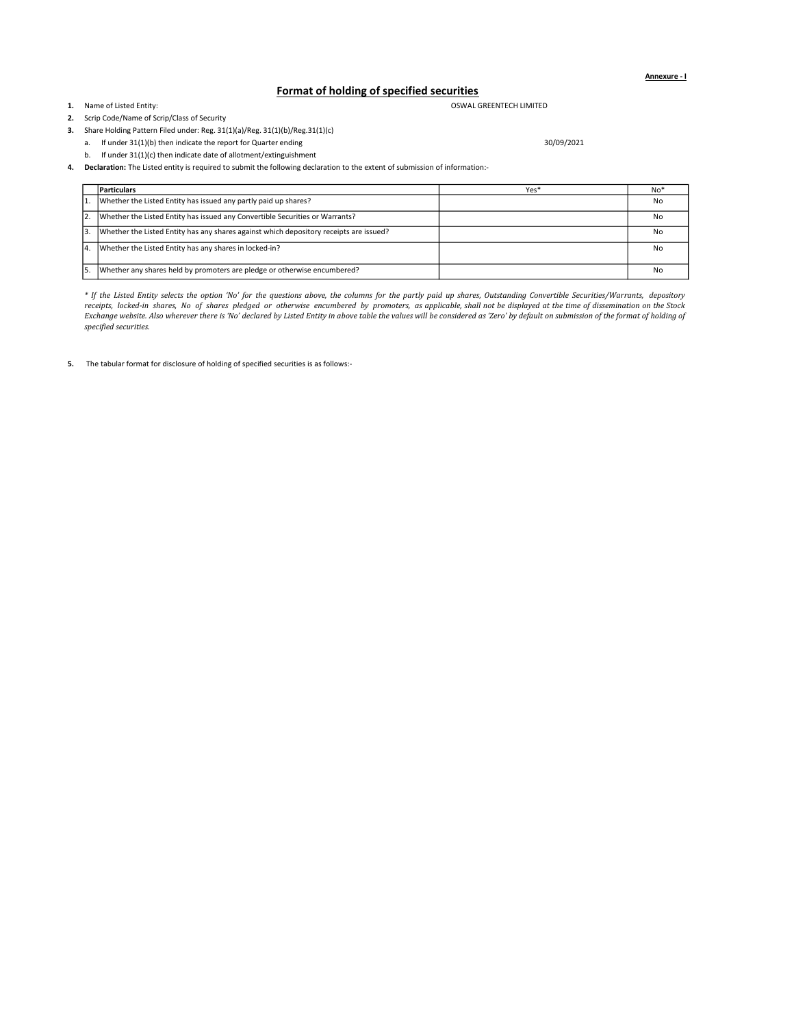Annexure - I

## Format of holding of specified securities

1. Name of Listed Entity:

2. Scrip Code/Name of Scrip/Class of Security

OSWAL GREENTECH LIMITED

3. Share Holding Pattern Filed under: Reg. 31(1)(a)/Reg. 31(1)(b)/Reg.31(1)(c)

a. If under 31(1)(b) then indicate the report for Quarter ending 30/09/2021

b. If under 31(1)(c) then indicate date of allotment/extinguishment

4. Declaration: The Listed entity is required to submit the following declaration to the extent of submission of information:-

|     | <b>Particulars</b>                                                                     | Yes* | No <sup>3</sup> |
|-----|----------------------------------------------------------------------------------------|------|-----------------|
| ١1. | Whether the Listed Entity has issued any partly paid up shares?                        |      | No              |
| 2.  | Whether the Listed Entity has issued any Convertible Securities or Warrants?           |      | No              |
| lз. | Whether the Listed Entity has any shares against which depository receipts are issued? |      | No              |
| 14. | Whether the Listed Entity has any shares in locked-in?                                 |      | No              |
| 5.  | Whether any shares held by promoters are pledge or otherwise encumbered?               |      | No              |

\* If the Listed Entity selects the option 'No' for the questions above, the columns for the partly paid up shares, Outstanding Convertible Securities/Warrants, depository receipts, locked-in shares, No of shares pledged or otherwise encumbered by promoters, as applicable, shall not be displayed at the time of dissemination on the Stock Exchange website. Also wherever there is 'No' declared by Listed Entity in above table the values will be considered as 'Zero' by default on submission of the format of holding of specified securities.

5. The tabular format for disclosure of holding of specified securities is as follows:-